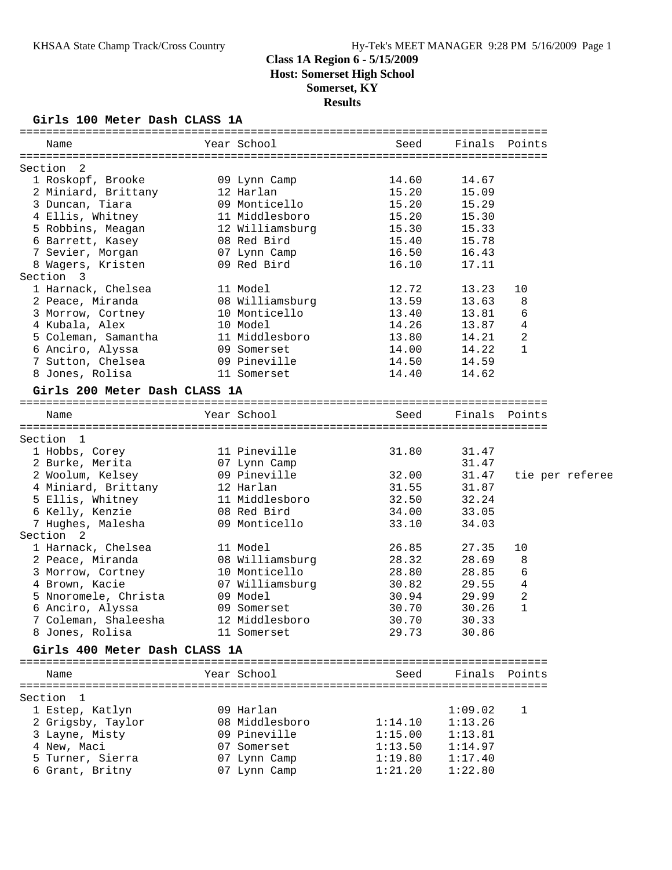**Results**

### **Girls 100 Meter Dash CLASS 1A**

| Year School<br>Finals Points<br>Seed<br>Name<br>Section 2<br>1 Roskopf, Brooke<br>09 Lynn Camp<br>14.60<br>14.67<br>12 Harlan<br>15.20<br>2 Miniard, Brittany<br>15.09<br>3 Duncan, Tiara<br>15.20<br>09 Monticello<br>15.29<br>4 Ellis, Whitney 11 Middlesboro<br>15.20<br>15.30<br>5 Robbins, Meagan 12 Williamsburg<br>15.30<br>15.33<br>15.78<br>6 Barrett, Kasey<br>08 Red Bird<br>15.40<br>7 Sevier, Morgan<br>Uð Reu -<br>07 Lynn Camp<br>^^ Pod Bird<br>16.50<br>16.43<br>8 Wagers, Kristen<br>16.10<br>17.11<br>12.72<br>13.23<br>11 Model<br>10<br>2 Peace, Miranda 68 Williamsburg<br>13.59<br>13.63<br>8<br>6<br>10 Monticello<br>13.40<br>13.81<br>14.26<br>4<br>10 Model<br>11 Middlesboro<br>13.87<br>14.21<br>2<br>13.80<br>14.22<br>14.00<br>09 Somerset<br>1<br>09 Pineville<br>14.50<br>14.59<br>14.40<br>11 Somerset<br>14.62<br>Girls 200 Meter Dash CLASS 1A<br>Year School<br>Finals Points<br>Seed<br>Name<br>Section 1<br>11 Pineville<br>31.80<br>31.47<br>1 Hobbs, Corey<br>31.47<br>2 Burke, Merita<br>07 Lynn Camp<br>09 Pineville<br>31.47<br>2 Woolum, Kelsey<br>32.00<br>tie per referee<br>4 Miniard, Brittany 12 Harlan<br>31.87<br>31.55<br>5 Ellis, Whitney 11 Middlesboro<br>32.50<br>32.24<br>6 Kelly, Kenzie<br>08 Red Bird<br>34.00<br>33.05<br>7 Hughes, Malesha<br>09 Monticello<br>33.10<br>34.03<br>11 Model<br>26.85<br>27.35<br>10<br>08 Williamsburg<br>28.32<br>28.69<br>8<br>3 Morrow, Cortney 10 Monticello<br>28.80<br>28.85<br>6<br>07 Williamsburg<br>30.82<br>4<br>29.55<br>$\overline{c}$<br>5 Nnoromele, Christa<br>09 Model<br>30.94<br>29.99<br>$\mathbf{1}$<br>30.70<br>30.26<br>09 Somerset<br>7 Coleman, Shaleesha       12 Middlesboro<br>30.70<br>30.33<br>11 Somerset<br>29.73<br>30.86<br>Girls 400 Meter Dash CLASS 1A<br>Year School<br>Finals Points<br>Seed<br>Name<br>09 Harlan<br>1:09.02<br>1<br>08 Middlesboro<br>2 Grigsby, Taylor<br>1:14.10<br>1:13.26<br>09 Pineville<br>1:15.00<br>1:13.81<br>07 Somerset<br>1:13.50<br>1:14.97<br>1:17.40<br>07 Lynn Camp<br>1:19.80<br>07 Lynn Camp<br>1:22.80<br>1:21.20 |                      |  |  |  |
|-------------------------------------------------------------------------------------------------------------------------------------------------------------------------------------------------------------------------------------------------------------------------------------------------------------------------------------------------------------------------------------------------------------------------------------------------------------------------------------------------------------------------------------------------------------------------------------------------------------------------------------------------------------------------------------------------------------------------------------------------------------------------------------------------------------------------------------------------------------------------------------------------------------------------------------------------------------------------------------------------------------------------------------------------------------------------------------------------------------------------------------------------------------------------------------------------------------------------------------------------------------------------------------------------------------------------------------------------------------------------------------------------------------------------------------------------------------------------------------------------------------------------------------------------------------------------------------------------------------------------------------------------------------------------------------------------------------------------------------------------------------------------------------------------------------------------------------------------------------------------------------------------------------------------------------------------------------------------------------------------------------------------------------------------------------------------------------------|----------------------|--|--|--|
|                                                                                                                                                                                                                                                                                                                                                                                                                                                                                                                                                                                                                                                                                                                                                                                                                                                                                                                                                                                                                                                                                                                                                                                                                                                                                                                                                                                                                                                                                                                                                                                                                                                                                                                                                                                                                                                                                                                                                                                                                                                                                           |                      |  |  |  |
|                                                                                                                                                                                                                                                                                                                                                                                                                                                                                                                                                                                                                                                                                                                                                                                                                                                                                                                                                                                                                                                                                                                                                                                                                                                                                                                                                                                                                                                                                                                                                                                                                                                                                                                                                                                                                                                                                                                                                                                                                                                                                           |                      |  |  |  |
|                                                                                                                                                                                                                                                                                                                                                                                                                                                                                                                                                                                                                                                                                                                                                                                                                                                                                                                                                                                                                                                                                                                                                                                                                                                                                                                                                                                                                                                                                                                                                                                                                                                                                                                                                                                                                                                                                                                                                                                                                                                                                           |                      |  |  |  |
|                                                                                                                                                                                                                                                                                                                                                                                                                                                                                                                                                                                                                                                                                                                                                                                                                                                                                                                                                                                                                                                                                                                                                                                                                                                                                                                                                                                                                                                                                                                                                                                                                                                                                                                                                                                                                                                                                                                                                                                                                                                                                           |                      |  |  |  |
|                                                                                                                                                                                                                                                                                                                                                                                                                                                                                                                                                                                                                                                                                                                                                                                                                                                                                                                                                                                                                                                                                                                                                                                                                                                                                                                                                                                                                                                                                                                                                                                                                                                                                                                                                                                                                                                                                                                                                                                                                                                                                           |                      |  |  |  |
|                                                                                                                                                                                                                                                                                                                                                                                                                                                                                                                                                                                                                                                                                                                                                                                                                                                                                                                                                                                                                                                                                                                                                                                                                                                                                                                                                                                                                                                                                                                                                                                                                                                                                                                                                                                                                                                                                                                                                                                                                                                                                           |                      |  |  |  |
|                                                                                                                                                                                                                                                                                                                                                                                                                                                                                                                                                                                                                                                                                                                                                                                                                                                                                                                                                                                                                                                                                                                                                                                                                                                                                                                                                                                                                                                                                                                                                                                                                                                                                                                                                                                                                                                                                                                                                                                                                                                                                           |                      |  |  |  |
|                                                                                                                                                                                                                                                                                                                                                                                                                                                                                                                                                                                                                                                                                                                                                                                                                                                                                                                                                                                                                                                                                                                                                                                                                                                                                                                                                                                                                                                                                                                                                                                                                                                                                                                                                                                                                                                                                                                                                                                                                                                                                           |                      |  |  |  |
|                                                                                                                                                                                                                                                                                                                                                                                                                                                                                                                                                                                                                                                                                                                                                                                                                                                                                                                                                                                                                                                                                                                                                                                                                                                                                                                                                                                                                                                                                                                                                                                                                                                                                                                                                                                                                                                                                                                                                                                                                                                                                           |                      |  |  |  |
|                                                                                                                                                                                                                                                                                                                                                                                                                                                                                                                                                                                                                                                                                                                                                                                                                                                                                                                                                                                                                                                                                                                                                                                                                                                                                                                                                                                                                                                                                                                                                                                                                                                                                                                                                                                                                                                                                                                                                                                                                                                                                           |                      |  |  |  |
|                                                                                                                                                                                                                                                                                                                                                                                                                                                                                                                                                                                                                                                                                                                                                                                                                                                                                                                                                                                                                                                                                                                                                                                                                                                                                                                                                                                                                                                                                                                                                                                                                                                                                                                                                                                                                                                                                                                                                                                                                                                                                           |                      |  |  |  |
|                                                                                                                                                                                                                                                                                                                                                                                                                                                                                                                                                                                                                                                                                                                                                                                                                                                                                                                                                                                                                                                                                                                                                                                                                                                                                                                                                                                                                                                                                                                                                                                                                                                                                                                                                                                                                                                                                                                                                                                                                                                                                           | Section 3            |  |  |  |
|                                                                                                                                                                                                                                                                                                                                                                                                                                                                                                                                                                                                                                                                                                                                                                                                                                                                                                                                                                                                                                                                                                                                                                                                                                                                                                                                                                                                                                                                                                                                                                                                                                                                                                                                                                                                                                                                                                                                                                                                                                                                                           | 1 Harnack, Chelsea   |  |  |  |
|                                                                                                                                                                                                                                                                                                                                                                                                                                                                                                                                                                                                                                                                                                                                                                                                                                                                                                                                                                                                                                                                                                                                                                                                                                                                                                                                                                                                                                                                                                                                                                                                                                                                                                                                                                                                                                                                                                                                                                                                                                                                                           |                      |  |  |  |
|                                                                                                                                                                                                                                                                                                                                                                                                                                                                                                                                                                                                                                                                                                                                                                                                                                                                                                                                                                                                                                                                                                                                                                                                                                                                                                                                                                                                                                                                                                                                                                                                                                                                                                                                                                                                                                                                                                                                                                                                                                                                                           | 3 Morrow, Cortney    |  |  |  |
|                                                                                                                                                                                                                                                                                                                                                                                                                                                                                                                                                                                                                                                                                                                                                                                                                                                                                                                                                                                                                                                                                                                                                                                                                                                                                                                                                                                                                                                                                                                                                                                                                                                                                                                                                                                                                                                                                                                                                                                                                                                                                           | 4 Kubala, Alex       |  |  |  |
|                                                                                                                                                                                                                                                                                                                                                                                                                                                                                                                                                                                                                                                                                                                                                                                                                                                                                                                                                                                                                                                                                                                                                                                                                                                                                                                                                                                                                                                                                                                                                                                                                                                                                                                                                                                                                                                                                                                                                                                                                                                                                           | 5 Coleman, Samantha  |  |  |  |
|                                                                                                                                                                                                                                                                                                                                                                                                                                                                                                                                                                                                                                                                                                                                                                                                                                                                                                                                                                                                                                                                                                                                                                                                                                                                                                                                                                                                                                                                                                                                                                                                                                                                                                                                                                                                                                                                                                                                                                                                                                                                                           | 6 Anciro, Alyssa     |  |  |  |
|                                                                                                                                                                                                                                                                                                                                                                                                                                                                                                                                                                                                                                                                                                                                                                                                                                                                                                                                                                                                                                                                                                                                                                                                                                                                                                                                                                                                                                                                                                                                                                                                                                                                                                                                                                                                                                                                                                                                                                                                                                                                                           | 7 Sutton, Chelsea    |  |  |  |
|                                                                                                                                                                                                                                                                                                                                                                                                                                                                                                                                                                                                                                                                                                                                                                                                                                                                                                                                                                                                                                                                                                                                                                                                                                                                                                                                                                                                                                                                                                                                                                                                                                                                                                                                                                                                                                                                                                                                                                                                                                                                                           | 8 Jones, Rolisa      |  |  |  |
|                                                                                                                                                                                                                                                                                                                                                                                                                                                                                                                                                                                                                                                                                                                                                                                                                                                                                                                                                                                                                                                                                                                                                                                                                                                                                                                                                                                                                                                                                                                                                                                                                                                                                                                                                                                                                                                                                                                                                                                                                                                                                           |                      |  |  |  |
|                                                                                                                                                                                                                                                                                                                                                                                                                                                                                                                                                                                                                                                                                                                                                                                                                                                                                                                                                                                                                                                                                                                                                                                                                                                                                                                                                                                                                                                                                                                                                                                                                                                                                                                                                                                                                                                                                                                                                                                                                                                                                           |                      |  |  |  |
|                                                                                                                                                                                                                                                                                                                                                                                                                                                                                                                                                                                                                                                                                                                                                                                                                                                                                                                                                                                                                                                                                                                                                                                                                                                                                                                                                                                                                                                                                                                                                                                                                                                                                                                                                                                                                                                                                                                                                                                                                                                                                           |                      |  |  |  |
|                                                                                                                                                                                                                                                                                                                                                                                                                                                                                                                                                                                                                                                                                                                                                                                                                                                                                                                                                                                                                                                                                                                                                                                                                                                                                                                                                                                                                                                                                                                                                                                                                                                                                                                                                                                                                                                                                                                                                                                                                                                                                           |                      |  |  |  |
|                                                                                                                                                                                                                                                                                                                                                                                                                                                                                                                                                                                                                                                                                                                                                                                                                                                                                                                                                                                                                                                                                                                                                                                                                                                                                                                                                                                                                                                                                                                                                                                                                                                                                                                                                                                                                                                                                                                                                                                                                                                                                           |                      |  |  |  |
|                                                                                                                                                                                                                                                                                                                                                                                                                                                                                                                                                                                                                                                                                                                                                                                                                                                                                                                                                                                                                                                                                                                                                                                                                                                                                                                                                                                                                                                                                                                                                                                                                                                                                                                                                                                                                                                                                                                                                                                                                                                                                           |                      |  |  |  |
|                                                                                                                                                                                                                                                                                                                                                                                                                                                                                                                                                                                                                                                                                                                                                                                                                                                                                                                                                                                                                                                                                                                                                                                                                                                                                                                                                                                                                                                                                                                                                                                                                                                                                                                                                                                                                                                                                                                                                                                                                                                                                           |                      |  |  |  |
|                                                                                                                                                                                                                                                                                                                                                                                                                                                                                                                                                                                                                                                                                                                                                                                                                                                                                                                                                                                                                                                                                                                                                                                                                                                                                                                                                                                                                                                                                                                                                                                                                                                                                                                                                                                                                                                                                                                                                                                                                                                                                           |                      |  |  |  |
|                                                                                                                                                                                                                                                                                                                                                                                                                                                                                                                                                                                                                                                                                                                                                                                                                                                                                                                                                                                                                                                                                                                                                                                                                                                                                                                                                                                                                                                                                                                                                                                                                                                                                                                                                                                                                                                                                                                                                                                                                                                                                           |                      |  |  |  |
|                                                                                                                                                                                                                                                                                                                                                                                                                                                                                                                                                                                                                                                                                                                                                                                                                                                                                                                                                                                                                                                                                                                                                                                                                                                                                                                                                                                                                                                                                                                                                                                                                                                                                                                                                                                                                                                                                                                                                                                                                                                                                           |                      |  |  |  |
|                                                                                                                                                                                                                                                                                                                                                                                                                                                                                                                                                                                                                                                                                                                                                                                                                                                                                                                                                                                                                                                                                                                                                                                                                                                                                                                                                                                                                                                                                                                                                                                                                                                                                                                                                                                                                                                                                                                                                                                                                                                                                           |                      |  |  |  |
|                                                                                                                                                                                                                                                                                                                                                                                                                                                                                                                                                                                                                                                                                                                                                                                                                                                                                                                                                                                                                                                                                                                                                                                                                                                                                                                                                                                                                                                                                                                                                                                                                                                                                                                                                                                                                                                                                                                                                                                                                                                                                           |                      |  |  |  |
|                                                                                                                                                                                                                                                                                                                                                                                                                                                                                                                                                                                                                                                                                                                                                                                                                                                                                                                                                                                                                                                                                                                                                                                                                                                                                                                                                                                                                                                                                                                                                                                                                                                                                                                                                                                                                                                                                                                                                                                                                                                                                           | Section <sub>2</sub> |  |  |  |
|                                                                                                                                                                                                                                                                                                                                                                                                                                                                                                                                                                                                                                                                                                                                                                                                                                                                                                                                                                                                                                                                                                                                                                                                                                                                                                                                                                                                                                                                                                                                                                                                                                                                                                                                                                                                                                                                                                                                                                                                                                                                                           | 1 Harnack, Chelsea   |  |  |  |
|                                                                                                                                                                                                                                                                                                                                                                                                                                                                                                                                                                                                                                                                                                                                                                                                                                                                                                                                                                                                                                                                                                                                                                                                                                                                                                                                                                                                                                                                                                                                                                                                                                                                                                                                                                                                                                                                                                                                                                                                                                                                                           | 2 Peace, Miranda     |  |  |  |
|                                                                                                                                                                                                                                                                                                                                                                                                                                                                                                                                                                                                                                                                                                                                                                                                                                                                                                                                                                                                                                                                                                                                                                                                                                                                                                                                                                                                                                                                                                                                                                                                                                                                                                                                                                                                                                                                                                                                                                                                                                                                                           |                      |  |  |  |
|                                                                                                                                                                                                                                                                                                                                                                                                                                                                                                                                                                                                                                                                                                                                                                                                                                                                                                                                                                                                                                                                                                                                                                                                                                                                                                                                                                                                                                                                                                                                                                                                                                                                                                                                                                                                                                                                                                                                                                                                                                                                                           | 4 Brown, Kacie       |  |  |  |
|                                                                                                                                                                                                                                                                                                                                                                                                                                                                                                                                                                                                                                                                                                                                                                                                                                                                                                                                                                                                                                                                                                                                                                                                                                                                                                                                                                                                                                                                                                                                                                                                                                                                                                                                                                                                                                                                                                                                                                                                                                                                                           |                      |  |  |  |
|                                                                                                                                                                                                                                                                                                                                                                                                                                                                                                                                                                                                                                                                                                                                                                                                                                                                                                                                                                                                                                                                                                                                                                                                                                                                                                                                                                                                                                                                                                                                                                                                                                                                                                                                                                                                                                                                                                                                                                                                                                                                                           | 6 Anciro, Alyssa     |  |  |  |
|                                                                                                                                                                                                                                                                                                                                                                                                                                                                                                                                                                                                                                                                                                                                                                                                                                                                                                                                                                                                                                                                                                                                                                                                                                                                                                                                                                                                                                                                                                                                                                                                                                                                                                                                                                                                                                                                                                                                                                                                                                                                                           |                      |  |  |  |
|                                                                                                                                                                                                                                                                                                                                                                                                                                                                                                                                                                                                                                                                                                                                                                                                                                                                                                                                                                                                                                                                                                                                                                                                                                                                                                                                                                                                                                                                                                                                                                                                                                                                                                                                                                                                                                                                                                                                                                                                                                                                                           | 8 Jones, Rolisa      |  |  |  |
|                                                                                                                                                                                                                                                                                                                                                                                                                                                                                                                                                                                                                                                                                                                                                                                                                                                                                                                                                                                                                                                                                                                                                                                                                                                                                                                                                                                                                                                                                                                                                                                                                                                                                                                                                                                                                                                                                                                                                                                                                                                                                           |                      |  |  |  |
|                                                                                                                                                                                                                                                                                                                                                                                                                                                                                                                                                                                                                                                                                                                                                                                                                                                                                                                                                                                                                                                                                                                                                                                                                                                                                                                                                                                                                                                                                                                                                                                                                                                                                                                                                                                                                                                                                                                                                                                                                                                                                           |                      |  |  |  |
|                                                                                                                                                                                                                                                                                                                                                                                                                                                                                                                                                                                                                                                                                                                                                                                                                                                                                                                                                                                                                                                                                                                                                                                                                                                                                                                                                                                                                                                                                                                                                                                                                                                                                                                                                                                                                                                                                                                                                                                                                                                                                           |                      |  |  |  |
|                                                                                                                                                                                                                                                                                                                                                                                                                                                                                                                                                                                                                                                                                                                                                                                                                                                                                                                                                                                                                                                                                                                                                                                                                                                                                                                                                                                                                                                                                                                                                                                                                                                                                                                                                                                                                                                                                                                                                                                                                                                                                           | Section 1            |  |  |  |
|                                                                                                                                                                                                                                                                                                                                                                                                                                                                                                                                                                                                                                                                                                                                                                                                                                                                                                                                                                                                                                                                                                                                                                                                                                                                                                                                                                                                                                                                                                                                                                                                                                                                                                                                                                                                                                                                                                                                                                                                                                                                                           | 1 Estep, Katlyn      |  |  |  |
|                                                                                                                                                                                                                                                                                                                                                                                                                                                                                                                                                                                                                                                                                                                                                                                                                                                                                                                                                                                                                                                                                                                                                                                                                                                                                                                                                                                                                                                                                                                                                                                                                                                                                                                                                                                                                                                                                                                                                                                                                                                                                           |                      |  |  |  |
|                                                                                                                                                                                                                                                                                                                                                                                                                                                                                                                                                                                                                                                                                                                                                                                                                                                                                                                                                                                                                                                                                                                                                                                                                                                                                                                                                                                                                                                                                                                                                                                                                                                                                                                                                                                                                                                                                                                                                                                                                                                                                           | 3 Layne, Misty       |  |  |  |
|                                                                                                                                                                                                                                                                                                                                                                                                                                                                                                                                                                                                                                                                                                                                                                                                                                                                                                                                                                                                                                                                                                                                                                                                                                                                                                                                                                                                                                                                                                                                                                                                                                                                                                                                                                                                                                                                                                                                                                                                                                                                                           | 4 New, Maci          |  |  |  |
|                                                                                                                                                                                                                                                                                                                                                                                                                                                                                                                                                                                                                                                                                                                                                                                                                                                                                                                                                                                                                                                                                                                                                                                                                                                                                                                                                                                                                                                                                                                                                                                                                                                                                                                                                                                                                                                                                                                                                                                                                                                                                           | 5 Turner, Sierra     |  |  |  |
|                                                                                                                                                                                                                                                                                                                                                                                                                                                                                                                                                                                                                                                                                                                                                                                                                                                                                                                                                                                                                                                                                                                                                                                                                                                                                                                                                                                                                                                                                                                                                                                                                                                                                                                                                                                                                                                                                                                                                                                                                                                                                           | 6 Grant, Britny      |  |  |  |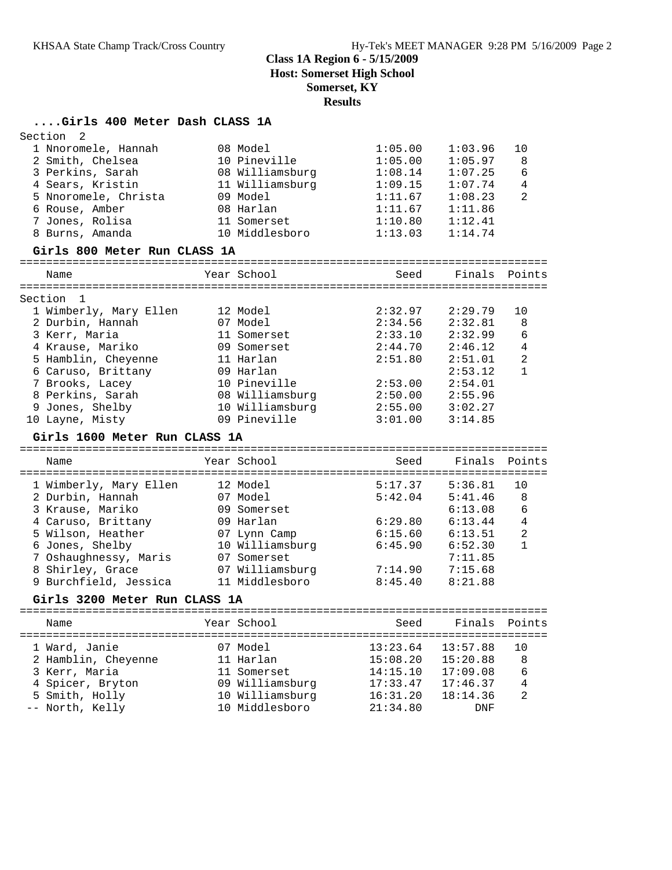### **Class 1A Region 6 - 5/15/2009 Host: Somerset High School**

### **Somerset, KY**

**Results**

#### **....Girls 400 Meter Dash CLASS 1A**

| Section<br>2                  |                 |          |               |                |
|-------------------------------|-----------------|----------|---------------|----------------|
| 1 Nnoromele, Hannah           | 08 Model        | 1:05.00  | 1:03.96       | 10             |
| 2 Smith, Chelsea              | 10 Pineville    | 1:05.00  | 1:05.97       | 8              |
| 3 Perkins, Sarah              | 08 Williamsburg | 1:08.14  | 1:07.25       | 6              |
| 4 Sears, Kristin              | 11 Williamsburg | 1:09.15  | 1:07.74       | 4              |
| 5 Nnoromele, Christa          | 09 Model        | 1:11.67  | 1:08.23       | $\mathfrak{D}$ |
| 6 Rouse, Amber                | 08 Harlan       | 1:11.67  | 1:11.86       |                |
| 7 Jones, Rolisa               | 11 Somerset     | 1:10.80  | 1:12.41       |                |
| 8 Burns, Amanda               | 10 Middlesboro  | 1:13.03  | 1:14.74       |                |
| Girls 800 Meter Run CLASS 1A  |                 |          |               |                |
| Name                          | Year School     | Seed     | Finals        | Points         |
| Section<br>1                  |                 |          |               |                |
| 1 Wimberly, Mary Ellen        | 12 Model        | 2:32.97  | 2:29.79       | 10             |
| 2 Durbin, Hannah              | 07 Model        | 2:34.56  | 2:32.81       | 8              |
| 3 Kerr, Maria                 | 11 Somerset     | 2:33.10  | 2:32.99       | 6              |
| 4 Krause, Mariko              | 09 Somerset     | 2:44.70  | 2:46.12       | 4              |
| 5 Hamblin, Cheyenne           | 11 Harlan       | 2:51.80  | 2:51.01       | $\overline{a}$ |
| 6 Caruso, Brittany            | 09 Harlan       |          | 2:53.12       | 1              |
| 7 Brooks, Lacey               | 10 Pineville    | 2:53.00  | 2:54.01       |                |
| 8 Perkins, Sarah              | 08 Williamsburg | 2:50.00  | 2:55.96       |                |
| 9 Jones, Shelby               | 10 Williamsburg | 2:55.00  | 3:02.27       |                |
| 10 Layne, Misty               | 09 Pineville    | 3:01.00  | 3:14.85       |                |
| Girls 1600 Meter Run CLASS 1A |                 |          |               |                |
| Name                          | Year School     | Seed     | Finals        | Points         |
|                               |                 |          |               |                |
| 1 Wimberly, Mary Ellen        | 12 Model        | 5:17.37  | 5:36.81       | 10             |
| 2 Durbin, Hannah              | 07 Model        | 5:42.04  | 5:41.46       | 8              |
| 3 Krause, Mariko              | 09 Somerset     |          | 6:13.08       | 6              |
| 4 Caruso, Brittany            | 09 Harlan       | 6:29.80  | 6:13.44       | 4              |
| 5 Wilson, Heather             | 07 Lynn Camp    | 6:15.60  | 6:13.51       | $\overline{2}$ |
| 6 Jones, Shelby               | 10 Williamsburg | 6:45.90  | 6:52.30       | $\mathbf{1}$   |
| 7 Oshaughnessy, Maris         | 07 Somerset     |          | 7:11.85       |                |
| 8 Shirley, Grace              | 07 Williamsburg | 7:14.90  | 7:15.68       |                |
| 9 Burchfield, Jessica         | 11 Middlesboro  | 8:45.40  | 8:21.88       |                |
| Girls 3200 Meter Run CLASS 1A |                 |          |               |                |
|                               |                 |          |               |                |
| Name                          | Year School     | Seed     | Finals Points |                |
|                               |                 |          |               |                |
| 1 Ward, Janie                 | 07 Model        | 13:23.64 | 13:57.88      | 10             |
| 2 Hamblin, Cheyenne           | 11 Harlan       | 15:08.20 | 15:20.88      | 8              |

 3 Kerr, Maria 11 Somerset 14:15.10 17:09.08 6 4 Spicer, Bryton 09 Williamsburg 17:33.47 17:46.37 4 5 Smith, Holly 10 Williamsburg 16:31.20 18:14.36 2 -- North, Kelly 10 Middlesboro 21:34.80 DNF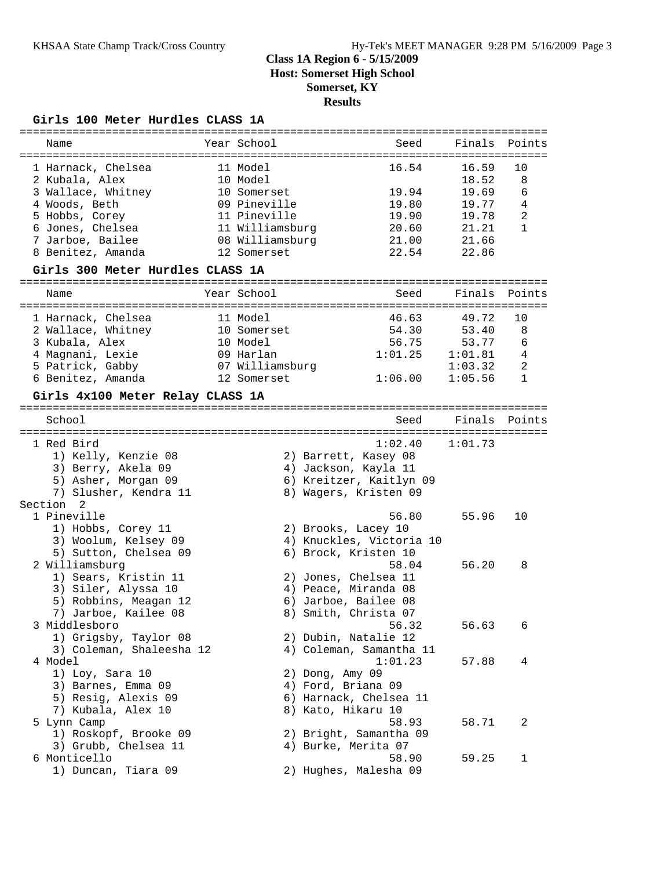### **Girls 100 Meter Hurdles CLASS 1A**

|                                                                             |                                                     | =====================                           |                                  |                   |
|-----------------------------------------------------------------------------|-----------------------------------------------------|-------------------------------------------------|----------------------------------|-------------------|
| Name                                                                        | Year School                                         | Seed                                            | Finals                           | Points            |
| 1 Harnack, Chelsea<br>2 Kubala, Alex<br>3 Wallace, Whitney<br>4 Woods, Beth | 11 Model<br>10 Model<br>10 Somerset<br>09 Pineville | 16.54<br>19.94<br>19.80                         | 16.59<br>18.52<br>19.69<br>19.77 | 10<br>8<br>6<br>4 |
| 5 Hobbs, Corey                                                              | 11 Pineville                                        | 19.90                                           | 19.78                            | 2                 |
| 6 Jones, Chelsea                                                            | 11 Williamsburg                                     | 20.60                                           | 21.21                            | 1                 |
| 7 Jarboe, Bailee                                                            | 08 Williamsburg                                     | 21.00                                           | 21.66                            |                   |
| 8 Benitez, Amanda                                                           | 12 Somerset                                         | 22.54                                           | 22.86                            |                   |
| Girls 300 Meter Hurdles CLASS 1A                                            |                                                     |                                                 |                                  |                   |
| Name                                                                        | Year School                                         | Seed                                            | Finals                           | Points            |
|                                                                             |                                                     |                                                 |                                  |                   |
| 1 Harnack, Chelsea                                                          | 11 Model                                            | 46.63                                           | 49.72                            | 10                |
| 2 Wallace, Whitney<br>3 Kubala, Alex                                        | 10 Somerset<br>10 Model                             | 54.30<br>56.75                                  | 53.40<br>53.77                   | 8<br>6            |
| 4 Magnani, Lexie                                                            | 09 Harlan                                           | 1:01.25                                         | 1:01.81                          | 4                 |
| 5 Patrick, Gabby                                                            | 07 Williamsburg                                     |                                                 | 1:03.32                          | $\overline{c}$    |
| 6 Benitez, Amanda                                                           | 12 Somerset                                         | 1:06.00                                         | 1:05.56                          | $\mathbf{1}$      |
| Girls 4x100 Meter Relay CLASS 1A                                            |                                                     |                                                 |                                  |                   |
|                                                                             |                                                     |                                                 |                                  |                   |
| School                                                                      |                                                     | Seed                                            | Finals                           | Points            |
| 1 Red Bird                                                                  |                                                     | 1:02.40                                         | 1:01.73                          |                   |
| 1) Kelly, Kenzie 08                                                         |                                                     | 2) Barrett, Kasey 08                            |                                  |                   |
| 3) Berry, Akela 09                                                          |                                                     | 4) Jackson, Kayla 11                            |                                  |                   |
| 5) Asher, Morgan 09                                                         |                                                     | 6) Kreitzer, Kaitlyn 09                         |                                  |                   |
| 7) Slusher, Kendra 11                                                       |                                                     | 8) Wagers, Kristen 09                           |                                  |                   |
| Section<br>- 2                                                              |                                                     |                                                 |                                  |                   |
| 1 Pineville                                                                 |                                                     | 56.80                                           | 55.96                            | 10                |
| 1) Hobbs, Corey 11                                                          |                                                     | 2) Brooks, Lacey 10                             |                                  |                   |
| 3) Woolum, Kelsey 09                                                        |                                                     | 4) Knuckles, Victoria 10                        |                                  |                   |
| 5) Sutton, Chelsea 09                                                       |                                                     | 6) Brock, Kristen 10                            |                                  |                   |
| 2 Williamsburg                                                              |                                                     | 58.04                                           | 56.20                            | 8                 |
| 1) Sears, Kristin 11                                                        |                                                     | 2) Jones, Chelsea 11                            |                                  |                   |
| 3) Siler, Alyssa 10                                                         |                                                     | 4) Peace, Miranda 08                            |                                  |                   |
| 5) Robbins, Meagan 12                                                       |                                                     | 6) Jarboe, Bailee 08                            |                                  |                   |
| 7) Jarboe, Kailee 08                                                        |                                                     | 8) Smith, Christa 07                            |                                  |                   |
| 3 Middlesboro                                                               |                                                     | 56.32                                           | 56.63                            | 6                 |
| 1) Grigsby, Taylor 08                                                       |                                                     | 2) Dubin, Natalie 12<br>4) Coleman, Samantha 11 |                                  |                   |
| 3) Coleman, Shaleesha 12<br>4 Model                                         |                                                     | 1:01.23                                         |                                  | 4                 |
|                                                                             |                                                     | 2) Dong, Amy 09                                 | 57.88                            |                   |
| 1) Loy, Sara 10<br>3) Barnes, Emma 09                                       |                                                     | 4) Ford, Briana 09                              |                                  |                   |
| 5) Resig, Alexis 09                                                         |                                                     | 6) Harnack, Chelsea 11                          |                                  |                   |
| 7) Kubala, Alex 10                                                          |                                                     | 8) Kato, Hikaru 10                              |                                  |                   |
| 5 Lynn Camp                                                                 |                                                     | 58.93                                           | 58.71                            | 2                 |
| 1) Roskopf, Brooke 09                                                       |                                                     | 2) Bright, Samantha 09                          |                                  |                   |
| 3) Grubb, Chelsea 11                                                        |                                                     | 4) Burke, Merita 07                             |                                  |                   |
| 6 Monticello                                                                |                                                     | 58.90                                           | 59.25                            | 1                 |
| 1) Duncan, Tiara 09                                                         |                                                     | 2) Hughes, Malesha 09                           |                                  |                   |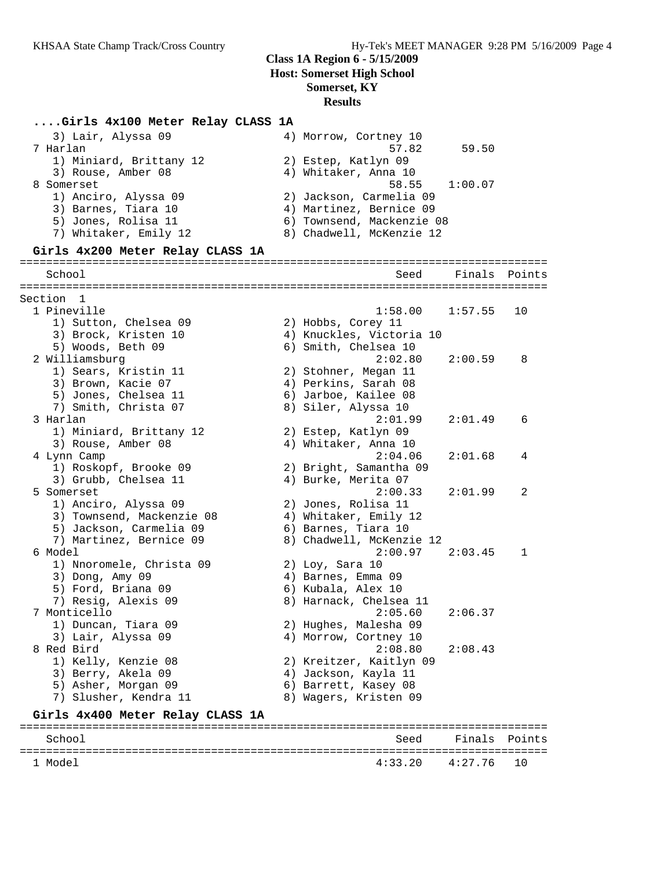### **....Girls 4x100 Meter Relay CLASS 1A**

| 3) Lair, Alyssa 09               | 4) Morrow, Cortney 10     |                          |               |
|----------------------------------|---------------------------|--------------------------|---------------|
| 7 Harlan                         | 57.82                     | 59.50                    |               |
| 1) Miniard, Brittany 12          | 2) Estep, Katlyn 09       |                          |               |
| 3) Rouse, Amber 08               | 4) Whitaker, Anna 10      |                          |               |
| 8 Somerset                       | 58.55                     | 1:00.07                  |               |
| 1) Anciro, Alyssa 09             | 2) Jackson, Carmelia 09   |                          |               |
| 3) Barnes, Tiara 10              | 4) Martinez, Bernice 09   |                          |               |
| 5) Jones, Rolisa 11              | 6) Townsend, Mackenzie 08 |                          |               |
| 7) Whitaker, Emily 12            | 8) Chadwell, McKenzie 12  |                          |               |
| Girls 4x200 Meter Relay CLASS 1A |                           |                          |               |
| School                           | Seed                      | Finals                   | Points        |
|                                  |                           |                          |               |
| Section 1                        |                           |                          |               |
| 1 Pineville                      | 1:58.00                   | 1:57.55                  | 10            |
| 1) Sutton, Chelsea 09            | 2) Hobbs, Corey 11        |                          |               |
| 3) Brock, Kristen 10             | 4) Knuckles, Victoria 10  |                          |               |
| 5) Woods, Beth 09                | 6) Smith, Chelsea 10      |                          |               |
| 2 Williamsburg                   | 2:02.80                   | 2:00.59                  | 8             |
| 1) Sears, Kristin 11             | 2) Stohner, Megan 11      |                          |               |
| 3) Brown, Kacie 07               | 4) Perkins, Sarah 08      |                          |               |
| 5) Jones, Chelsea 11             | 6) Jarboe, Kailee 08      |                          |               |
| 7) Smith, Christa 07             | 8) Siler, Alyssa 10       |                          |               |
| 3 Harlan                         | 2:01.99                   | 2:01.49                  | 6             |
| 1) Miniard, Brittany 12          | 2) Estep, Katlyn 09       |                          |               |
| 3) Rouse, Amber 08               | 4) Whitaker, Anna 10      |                          |               |
| 4 Lynn Camp                      | 2:04.06                   | 2:01.68                  | 4             |
| 1) Roskopf, Brooke 09            | 2) Bright, Samantha 09    |                          |               |
| 3) Grubb, Chelsea 11             | 4) Burke, Merita 07       |                          |               |
| 5 Somerset                       | 2:00.33                   | 2:01.99                  | 2             |
| 1) Anciro, Alyssa 09             | 2) Jones, Rolisa 11       |                          |               |
| 3) Townsend, Mackenzie 08        | 4) Whitaker, Emily 12     |                          |               |
| 5) Jackson, Carmelia 09          | 6) Barnes, Tiara 10       |                          |               |
| 7) Martinez, Bernice 09          | 8) Chadwell, McKenzie 12  |                          |               |
| 6 Model                          | 2:00.97                   | 2:03.45                  | 1             |
| 1) Nnoromele, Christa 09         | $2)$ Loy, Sara 10         |                          |               |
| 3) Dong, Amy 09                  | 4) Barnes, Emma 09        |                          |               |
| 5) Ford, Briana 09               | 6) Kubala, Alex 10        |                          |               |
| 7) Resig, Alexis 09              | 8) Harnack, Chelsea 11    |                          |               |
| 7 Monticello                     | 2:05.60                   | 2:06.37                  |               |
| 1) Duncan, Tiara 09              | 2) Hughes, Malesha 09     |                          |               |
| 3) Lair, Alyssa 09               | 4) Morrow, Cortney 10     |                          |               |
| 8 Red Bird                       | 2:08.80                   | 2:08.43                  |               |
| 1) Kelly, Kenzie 08              | 2) Kreitzer, Kaitlyn 09   |                          |               |
| 3) Berry, Akela 09               | 4) Jackson, Kayla 11      |                          |               |
| 5) Asher, Morgan 09              | 6) Barrett, Kasey 08      |                          |               |
| 7) Slusher, Kendra 11            | 8) Wagers, Kristen 09     |                          |               |
| Girls 4x400 Meter Relay CLASS 1A |                           |                          |               |
| School                           | Seed                      | ------------------------ | Finals Points |

================================================================================

 $4:33.20$   $4:27.76$  10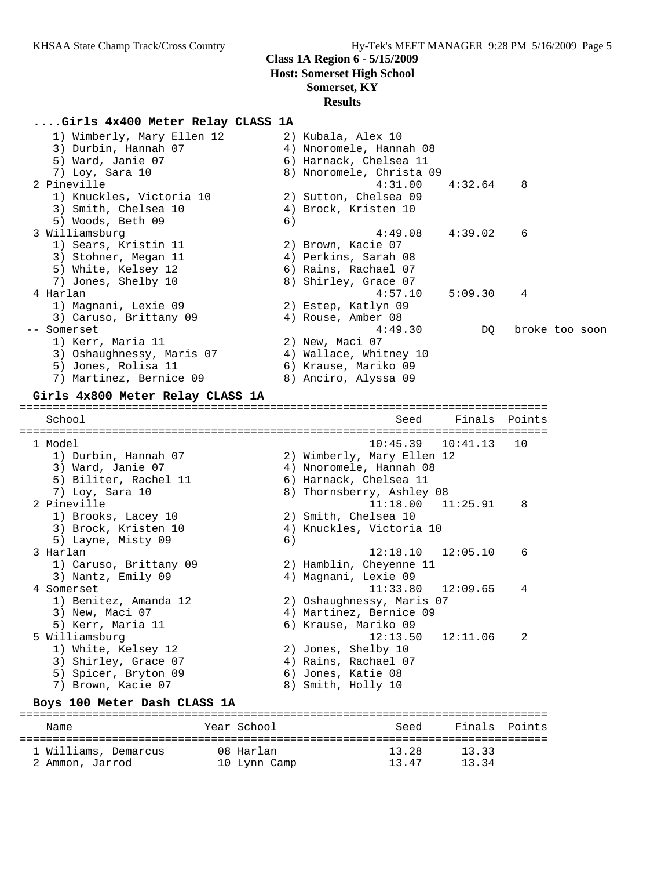## **....Girls 4x400 Meter Relay CLASS 1A**

| 1) Wimberly, Mary Ellen 12<br>3) Durbin, Hannah 07 |             |    | 2) Kubala, Alex 10<br>4) Nnoromele, Hannah 08      |          |                |  |
|----------------------------------------------------|-------------|----|----------------------------------------------------|----------|----------------|--|
| 5) Ward, Janie 07<br>7) Loy, Sara 10               |             |    | 6) Harnack, Chelsea 11<br>8) Nnoromele, Christa 09 |          |                |  |
| 2 Pineville                                        |             |    | 4:31.00                                            | 4:32.64  | 8              |  |
| 1) Knuckles, Victoria 10                           |             |    | 2) Sutton, Chelsea 09                              |          |                |  |
| 3) Smith, Chelsea 10                               |             |    | 4) Brock, Kristen 10                               |          |                |  |
| 5) Woods, Beth 09                                  |             | 6) |                                                    |          |                |  |
| 3 Williamsburg                                     |             |    | 4:49.08                                            | 4:39.02  | 6              |  |
| 1) Sears, Kristin 11<br>3) Stohner, Megan 11       |             |    | 2) Brown, Kacie 07<br>4) Perkins, Sarah 08         |          |                |  |
| 5) White, Kelsey 12                                |             |    | 6) Rains, Rachael 07                               |          |                |  |
| 7) Jones, Shelby 10                                |             |    | 8) Shirley, Grace 07                               |          |                |  |
| 4 Harlan                                           |             |    | 4:57.10                                            | 5:09.30  | 4              |  |
| 1) Magnani, Lexie 09                               |             |    | 2) Estep, Katlyn 09                                |          |                |  |
| 3) Caruso, Brittany 09                             |             |    | 4) Rouse, Amber 08                                 |          |                |  |
| -- Somerset                                        |             |    | 4:49.30                                            | DQ       | broke too soon |  |
| 1) Kerr, Maria 11                                  |             |    | 2) New, Maci 07                                    |          |                |  |
| 3) Oshaughnessy, Maris 07                          |             |    | 4) Wallace, Whitney 10                             |          |                |  |
| 5) Jones, Rolisa 11                                |             |    | 6) Krause, Mariko 09                               |          |                |  |
| 7) Martinez, Bernice 09                            |             |    | 8) Anciro, Alyssa 09                               |          |                |  |
| Girls 4x800 Meter Relay CLASS 1A                   |             |    |                                                    |          |                |  |
| School                                             |             |    | Seed                                               | Finals   | Points         |  |
| 1 Model                                            |             |    | 10:45.39                                           | 10:41.13 | 10             |  |
| 1) Durbin, Hannah 07                               |             |    | 2) Wimberly, Mary Ellen 12                         |          |                |  |
| 3) Ward, Janie 07                                  |             |    | 4) Nnoromele, Hannah 08                            |          |                |  |
| 5) Biliter, Rachel 11                              |             |    | 6) Harnack, Chelsea 11                             |          |                |  |
| 7) Loy, Sara 10                                    |             |    | 8) Thornsberry, Ashley 08                          |          |                |  |
| 2 Pineville                                        |             |    | 11:18.00                                           | 11:25.91 | 8              |  |
| 1) Brooks, Lacey 10                                |             |    | 2) Smith, Chelsea 10                               |          |                |  |
| 3) Brock, Kristen 10                               |             |    | 4) Knuckles, Victoria 10                           |          |                |  |
| 5) Layne, Misty 09<br>3 Harlan                     |             | 6) | 12:18.10                                           | 12:05.10 | 6              |  |
| 1) Caruso, Brittany 09                             |             |    | 2) Hamblin, Cheyenne 11                            |          |                |  |
| 3) Nantz, Emily 09                                 |             |    | 4) Magnani, Lexie 09                               |          |                |  |
| 4 Somerset                                         |             |    | 11:33.80                                           | 12:09.65 | 4              |  |
| 1) Benitez, Amanda 12                              |             |    | 2) Oshaughnessy, Maris 07                          |          |                |  |
| 3) New, Maci 07                                    |             |    | 4) Martinez, Bernice 09                            |          |                |  |
| 5) Kerr, Maria 11                                  |             |    | 6) Krause, Mariko 09                               |          |                |  |
| 5 Williamsburg                                     |             |    | 12:13.50                                           | 12:11.06 | 2              |  |
| 1) White, Kelsey 12                                |             |    | 2) Jones, Shelby 10                                |          |                |  |
| 3) Shirley, Grace 07                               |             |    | 4) Rains, Rachael 07                               |          |                |  |
| 5) Spicer, Bryton 09                               |             |    | 6) Jones, Katie 08                                 |          |                |  |
| 7) Brown, Kacie 07                                 |             |    | 8) Smith, Holly 10                                 |          |                |  |
| Boys 100 Meter Dash CLASS 1A                       |             |    |                                                    |          |                |  |
| Name                                               | Year School |    | Seed                                               | Finals   | Points         |  |
| 1 Williams, Demarcus                               | 08 Harlan   |    | 13.28                                              | 13.33    |                |  |

2 Ammon, Jarrod 10 Lynn Camp 13.47 13.34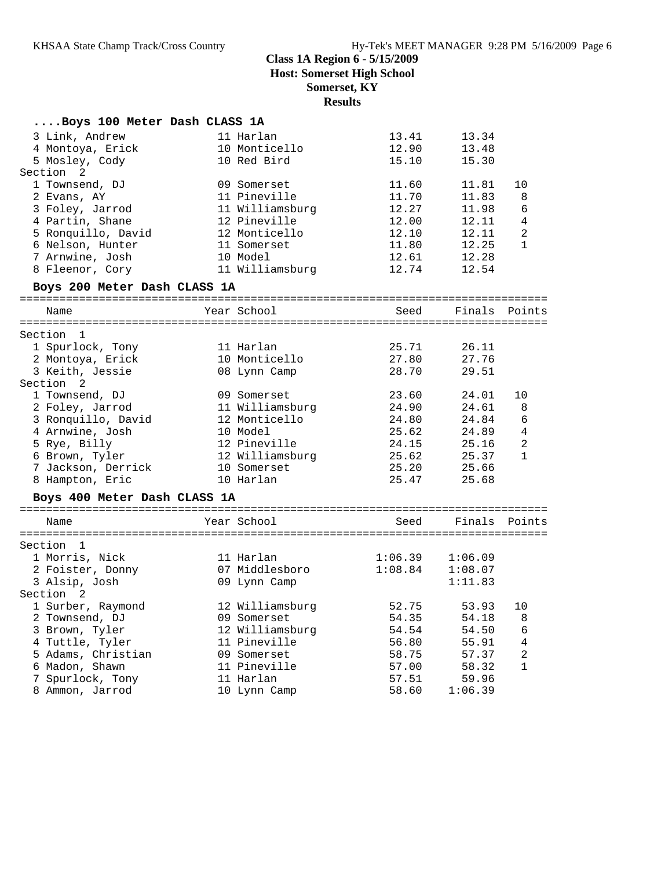# **Class 1A Region 6 - 5/15/2009**

**Host: Somerset High School**

# **Somerset, KY**

**Results**

| Boys 100 Meter Dash CLASS 1A |                 |         |         |                |
|------------------------------|-----------------|---------|---------|----------------|
| 3 Link, Andrew               | 11 Harlan       | 13.41   | 13.34   |                |
| 4 Montoya, Erick             | 10 Monticello   | 12.90   | 13.48   |                |
| 5 Mosley, Cody               | 10 Red Bird     | 15.10   | 15.30   |                |
| Section <sub>2</sub>         |                 |         |         |                |
| 1 Townsend, DJ               | 09 Somerset     | 11.60   | 11.81   | 10             |
| 2 Evans, AY                  | 11 Pineville    | 11.70   | 11.83   | 8              |
| 3 Foley, Jarrod              | 11 Williamsburg | 12.27   | 11.98   | 6              |
| 4 Partin, Shane              | 12 Pineville    | 12.00   | 12.11   | 4              |
| 5 Ronquillo, David           | 12 Monticello   | 12.10   | 12.11   | $\overline{2}$ |
| 6 Nelson, Hunter             | 11 Somerset     | 11.80   | 12.25   | $\mathbf{1}$   |
| 7 Arnwine, Josh              | 10 Model        | 12.61   | 12.28   |                |
| 8 Fleenor, Cory              | 11 Williamsburg | 12.74   | 12.54   |                |
| Boys 200 Meter Dash CLASS 1A |                 |         |         |                |
|                              |                 |         |         |                |
| Name                         | Year School     | Seed    |         | Finals Points  |
| Section<br>$\overline{1}$    |                 |         |         |                |
| 1 Spurlock, Tony             | 11 Harlan       | 25.71   | 26.11   |                |
| 2 Montoya, Erick             | 10 Monticello   | 27.80   | 27.76   |                |
| 3 Keith, Jessie              | 08 Lynn Camp    | 28.70   | 29.51   |                |
| Section <sub>2</sub>         |                 |         |         |                |
| 1 Townsend, DJ               | 09 Somerset     | 23.60   | 24.01   | 10             |
| 2 Foley, Jarrod              | 11 Williamsburg | 24.90   | 24.61   | 8              |
| 3 Ronquillo, David           | 12 Monticello   | 24.80   | 24.84   | 6              |
| 4 Arnwine, Josh              | 10 Model        | 25.62   | 24.89   | $\overline{4}$ |
| 5 Rye, Billy                 | 12 Pineville    | 24.15   | 25.16   | 2              |
| 6 Brown, Tyler               | 12 Williamsburg | 25.62   | 25.37   | $\mathbf{1}$   |
| 7 Jackson, Derrick           | 10 Somerset     | 25.20   | 25.66   |                |
| 8 Hampton, Eric              | 10 Harlan       | 25.47   | 25.68   |                |
|                              |                 |         |         |                |
| Boys 400 Meter Dash CLASS 1A |                 |         |         |                |
| Name                         | Year School     | Seed    |         | Finals Points  |
|                              |                 |         |         |                |
| Section 1                    |                 |         |         |                |
| 1 Morris, Nick               | 11 Harlan       | 1:06.39 | 1:06.09 |                |
| 2 Foister, Donny             | 07 Middlesboro  | 1:08.84 | 1:08.07 |                |
| 3 Alsip, Josh                | 09 Lynn Camp    |         | 1:11.83 |                |
| Section 2                    |                 |         |         |                |
| 1 Surber, Raymond            | 12 Williamsburg | 52.75   | 53.93   | 10             |
| 2 Townsend, DJ               | 09 Somerset     | 54.35   | 54.18   | 8              |
| 3 Brown, Tyler               | 12 Williamsburg | 54.54   | 54.50   | 6              |
| 4 Tuttle, Tyler              | 11 Pineville    | 56.80   | 55.91   | 4              |
| 5 Adams, Christian           | 09 Somerset     | 58.75   | 57.37   | 2              |
| 6 Madon, Shawn               | 11 Pineville    | 57.00   | 58.32   | $\mathbf{1}$   |
| 7 Spurlock, Tony             | 11 Harlan       | 57.51   | 59.96   |                |
| 8 Ammon, Jarrod              | 10 Lynn Camp    | 58.60   | 1:06.39 |                |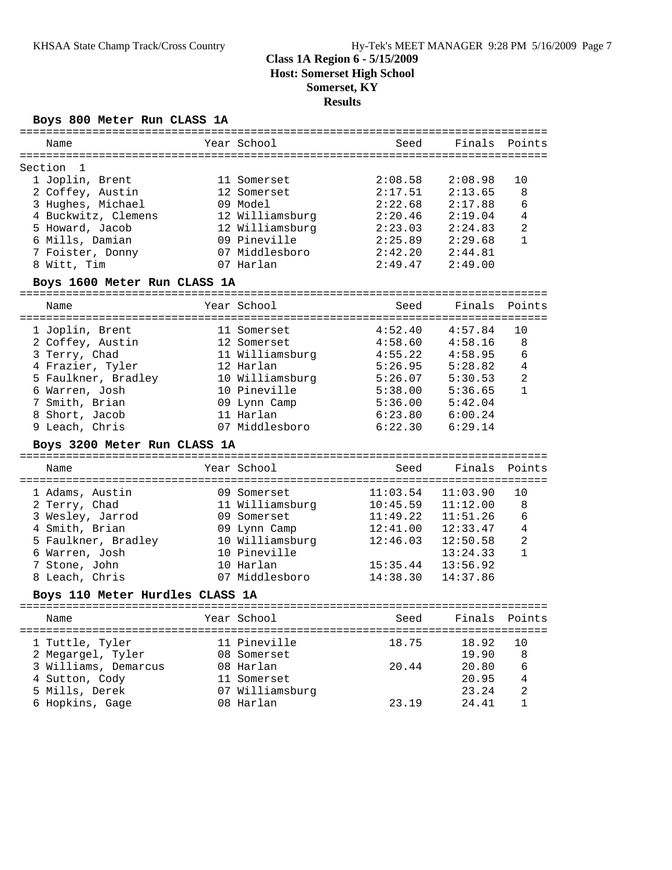### **Boys 800 Meter Run CLASS 1A**

| Name                            | Year School     | Seed     | Finals   | Points         |
|---------------------------------|-----------------|----------|----------|----------------|
| Section<br>-1                   |                 |          |          |                |
| 1 Joplin, Brent                 | 11 Somerset     | 2:08.58  | 2:08.98  | 10             |
|                                 | 12 Somerset     |          |          |                |
| 2 Coffey, Austin                |                 | 2:17.51  | 2:13.65  | 8              |
| 3 Hughes, Michael               | 09 Model        | 2:22.68  | 2:17.88  | 6              |
| 4 Buckwitz, Clemens             | 12 Williamsburg | 2:20.46  | 2:19.04  | 4              |
| 5 Howard, Jacob                 | 12 Williamsburg | 2:23.03  | 2:24.83  | $\mathbf{2}$   |
| 6 Mills, Damian                 | 09 Pineville    | 2:25.89  | 2:29.68  | $\mathbf{1}$   |
| 7 Foister, Donny                | 07 Middlesboro  | 2:42.20  | 2:44.81  |                |
| 8 Witt, Tim                     | 07 Harlan       | 2:49.47  | 2:49.00  |                |
| Boys 1600 Meter Run CLASS 1A    |                 |          |          |                |
| Name                            | Year School     | Seed     | Finals   | Points         |
|                                 |                 |          |          |                |
| 1 Joplin, Brent                 | 11 Somerset     | 4:52.40  | 4:57.84  | 10             |
| 2 Coffey, Austin                | 12 Somerset     | 4:58.60  | 4:58.16  | 8              |
| 3 Terry, Chad                   | 11 Williamsburg | 4:55.22  | 4:58.95  | 6              |
| 4 Frazier, Tyler                | 12 Harlan       | 5:26.95  | 5:28.82  | $\overline{4}$ |
| 5 Faulkner, Bradley             | 10 Williamsburg | 5:26.07  | 5:30.53  | $\overline{a}$ |
| 6 Warren, Josh                  | 10 Pineville    | 5:38.00  | 5:36.65  | $\mathbf{1}$   |
| 7 Smith, Brian                  | 09 Lynn Camp    | 5:36.00  | 5:42.04  |                |
| 8 Short, Jacob                  | 11 Harlan       | 6:23.80  | 6:00.24  |                |
| 9 Leach, Chris                  | 07 Middlesboro  | 6:22.30  | 6:29.14  |                |
| Boys 3200 Meter Run CLASS 1A    |                 |          |          |                |
| Name                            | Year School     | Seed     | Finals   | Points         |
|                                 |                 |          |          |                |
| 1 Adams, Austin                 | 09 Somerset     | 11:03.54 | 11:03.90 | 10             |
| 2 Terry, Chad                   | 11 Williamsburg | 10:45.59 | 11:12.00 | 8              |
| 3 Wesley, Jarrod                | 09 Somerset     | 11:49.22 | 11:51.26 | 6              |
| 4 Smith, Brian                  | 09 Lynn Camp    | 12:41.00 | 12:33.47 | $\overline{4}$ |
| 5 Faulkner, Bradley             | 10 Williamsburg | 12:46.03 | 12:50.58 | $\overline{c}$ |
| 6 Warren, Josh                  | 10 Pineville    |          | 13:24.33 | $\mathbf{1}$   |
| 7 Stone, John                   | 10 Harlan       | 15:35.44 | 13:56.92 |                |
| 8 Leach, Chris                  | 07 Middlesboro  | 14:38.30 | 14:37.86 |                |
| Boys 110 Meter Hurdles CLASS 1A |                 |          |          |                |
|                                 |                 |          |          |                |
| Name                            | Year School     | Seed     |          | Finals Points  |
| 1 Tuttle, Tyler                 | 11 Pineville    | 18.75    | 18.92    | 10             |
| 2 Megargel, Tyler               | 08 Somerset     |          | 19.90    | 8              |
| 3 Williams, Demarcus            | 08 Harlan       | 20.44    | 20.80    | 6              |
| 4 Sutton, Cody                  | 11 Somerset     |          | 20.95    | 4              |
| 5 Mills, Derek                  | 07 Williamsburg |          | 23.24    | 2              |
| 6 Hopkins, Gage                 | 08 Harlan       | 23.19    | 24.41    | 1              |
|                                 |                 |          |          |                |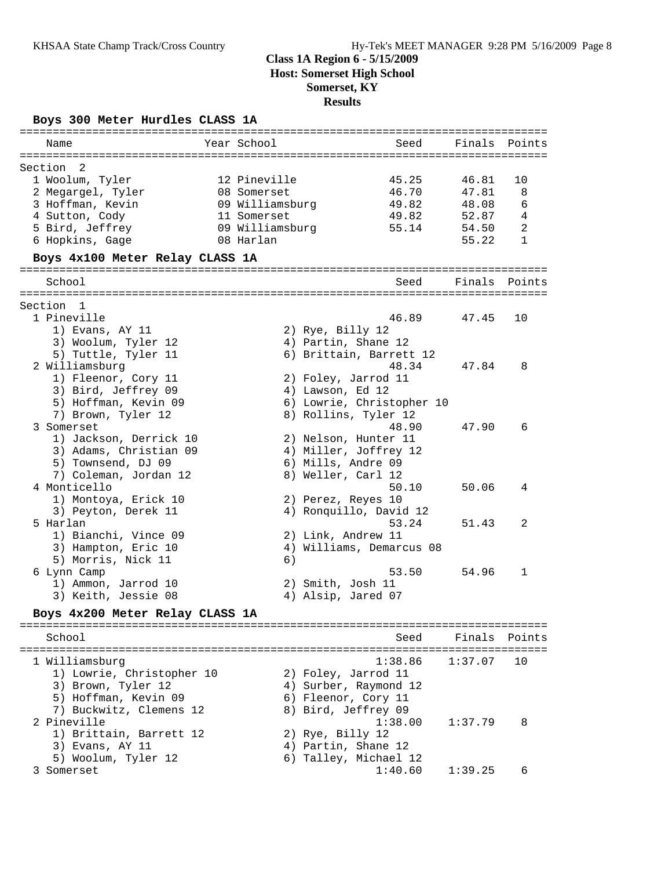### **Boys 300 Meter Hurdles CLASS 1A**

| Name                              | Year School     | Seed                      | Finals  | Points       |
|-----------------------------------|-----------------|---------------------------|---------|--------------|
|                                   |                 |                           |         |              |
| Section<br>- 2<br>1 Woolum, Tyler | 12 Pineville    | 45.25                     | 46.81   | 10           |
| 2 Megargel, Tyler                 | 08 Somerset     | 46.70                     | 47.81   | 8            |
| 3 Hoffman, Kevin                  | 09 Williamsburg | 49.82                     | 48.08   | 6            |
| 4 Sutton, Cody                    | 11 Somerset     | 49.82                     | 52.87   | 4            |
| 5 Bird, Jeffrey                   | 09 Williamsburg | 55.14                     | 54.50   | 2            |
| 6 Hopkins, Gage                   | 08 Harlan       |                           | 55.22   | $\mathbf{1}$ |
| Boys 4x100 Meter Relay CLASS 1A   |                 |                           |         |              |
|                                   |                 |                           |         |              |
| School                            |                 | Seed                      | Finals  | Points       |
| Section 1                         |                 |                           |         |              |
| 1 Pineville                       |                 | 46.89                     | 47.45   | 10           |
| 1) Evans, AY 11                   |                 | 2) Rye, Billy 12          |         |              |
| 3) Woolum, Tyler 12               |                 | 4) Partin, Shane 12       |         |              |
| 5) Tuttle, Tyler 11               |                 | 6) Brittain, Barrett 12   |         |              |
| 2 Williamsburg                    |                 | 48.34                     | 47.84   | 8            |
| 1) Fleenor, Cory 11               |                 | 2) Foley, Jarrod 11       |         |              |
| 3) Bird, Jeffrey 09               |                 | 4) Lawson, Ed 12          |         |              |
| 5) Hoffman, Kevin 09              |                 | 6) Lowrie, Christopher 10 |         |              |
| 7) Brown, Tyler 12                |                 | 8) Rollins, Tyler 12      |         |              |
| 3 Somerset                        |                 | 48.90                     | 47.90   | 6            |
| 1) Jackson, Derrick 10            |                 | 2) Nelson, Hunter 11      |         |              |
| 3) Adams, Christian 09            |                 | 4) Miller, Joffrey 12     |         |              |
| 5) Townsend, DJ 09                |                 | 6) Mills, Andre 09        |         |              |
| 7) Coleman, Jordan 12             |                 | 8) Weller, Carl 12        |         |              |
| 4 Monticello                      |                 | 50.10                     | 50.06   | 4            |
| 1) Montoya, Erick 10              |                 | 2) Perez, Reyes 10        |         |              |
| 3) Peyton, Derek 11               |                 | 4) Ronquillo, David 12    |         |              |
| 5 Harlan                          |                 | 53.24                     | 51.43   | 2            |
| 1) Bianchi, Vince 09              |                 | 2) Link, Andrew 11        |         |              |
| 3) Hampton, Eric 10               |                 | 4) Williams, Demarcus 08  |         |              |
| 5) Morris, Nick 11                | 6)              |                           |         |              |
| 6 Lynn Camp                       |                 | 53.50                     | 54.96   | 1            |
| 1) Ammon, Jarrod 10               |                 | 2) Smith, Josh 11         |         |              |
| 3) Keith, Jessie 08               |                 | 4) Alsip, Jared 07        |         |              |
| Boys 4x200 Meter Relay CLASS 1A   |                 |                           |         |              |
| School                            |                 | Seed                      | Finals  | Points       |
| 1 Williamsburg                    |                 | 1:38.86                   | 1:37.07 | 10           |
| 1) Lowrie, Christopher 10         |                 | 2) Foley, Jarrod 11       |         |              |
| 3) Brown, Tyler 12                |                 | 4) Surber, Raymond 12     |         |              |
| 5) Hoffman, Kevin 09              |                 | 6) Fleenor, Cory 11       |         |              |
| 7) Buckwitz, Clemens 12           |                 | 8) Bird, Jeffrey 09       |         |              |
| 2 Pineville                       |                 | 1:38.00                   | 1:37.79 | 8            |
| 1) Brittain, Barrett 12           |                 | 2) Rye, Billy 12          |         |              |
| 3) Evans, AY 11                   |                 | 4) Partin, Shane 12       |         |              |
| 5) Woolum, Tyler 12               |                 | 6) Talley, Michael 12     |         |              |
| 3 Somerset                        |                 | 1:40.60                   | 1:39.25 | 6            |
|                                   |                 |                           |         |              |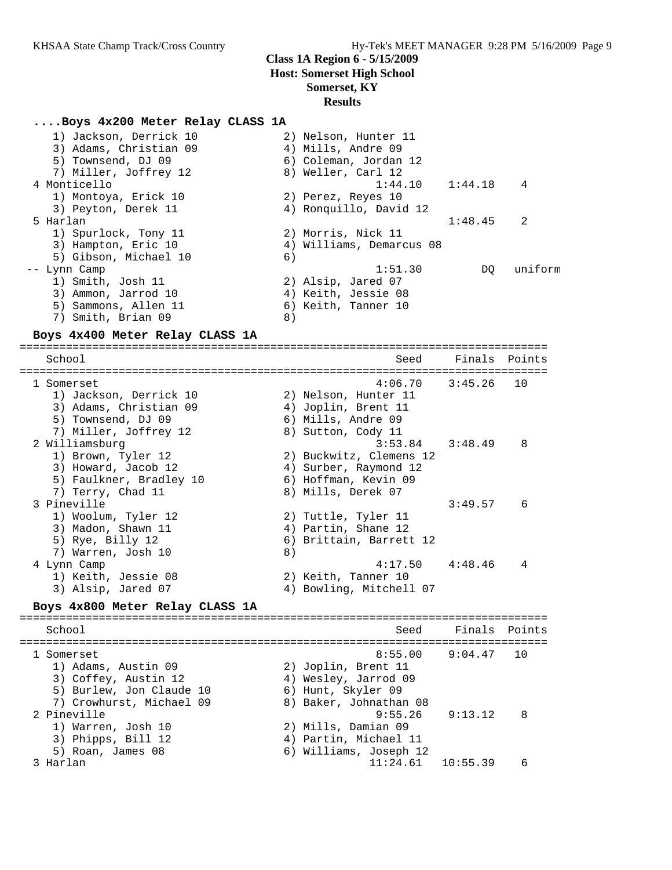#### **....Boys 4x200 Meter Relay CLASS 1A**

| 1) Jackson, Derrick 10 |    | 2) Nelson, Hunter 11     |         |         |
|------------------------|----|--------------------------|---------|---------|
| 3) Adams, Christian 09 |    | 4) Mills, Andre 09       |         |         |
| 5) Townsend, DJ 09     |    | 6) Coleman, Jordan 12    |         |         |
| 7) Miller, Joffrey 12  |    | 8) Weller, Carl 12       |         |         |
| 4 Monticello           |    | 1:44.10                  | 1:44.18 | 4       |
| 1) Montoya, Erick 10   |    | 2) Perez, Reyes 10       |         |         |
| 3) Peyton, Derek 11    |    | 4) Ronquillo, David 12   |         |         |
| 5 Harlan               |    |                          | 1:48.45 | 2       |
| 1) Spurlock, Tony 11   |    | 2) Morris, Nick 11       |         |         |
| 3) Hampton, Eric 10    |    | 4) Williams, Demarcus 08 |         |         |
| 5) Gibson, Michael 10  | 6) |                          |         |         |
| -- Lynn Camp           |    | 1:51.30                  | DO      | uniform |
| 1) Smith, Josh 11      |    | 2) Alsip, Jared 07       |         |         |
| 3) Ammon, Jarrod 10    |    | 4) Keith, Jessie 08      |         |         |
| 5) Sammons, Allen 11   |    | 6) Keith, Tanner 10      |         |         |
| 7) Smith, Brian 09     | 8) |                          |         |         |
|                        |    |                          |         |         |

#### **Boys 4x400 Meter Relay CLASS 1A**

================================================================================ School Seed Finals Points ================================================================================ 1 Somerset 4:06.70 3:45.26 10 1) Jackson, Derrick 10 2) Nelson, Hunter 11 3) Adams, Christian 09 4) Joplin, Brent 11 5) Townsend, DJ 09 6) Mills, Andre 09 7) Miller, Joffrey 12 and 8) Sutton, Cody 11 2 Williamsburg 3:53.84 3:48.49 8 1) Brown, Tyler 12 2) Buckwitz, Clemens 12 3) Howard, Jacob 12 4) Surber, Raymond 12 5) Faulkner, Bradley 10 6) Hoffman, Kevin 09 7) Terry, Chad 11 8) Mills, Derek 07 3 Pineville 3:49.57 6 1) Woolum, Tyler 12 2) Tuttle, Tyler 11 3) Madon, Shawn 11 4) Partin, Shane 12 5) Rye, Billy 12 6) Brittain, Barrett 12 7) Warren, Josh 10 8) 4 Lynn Camp 4:17.50 4:48.46 4 1) Keith, Jessie 08 2) Keith, Tanner 10 3) Alsip, Jared 07 4) Bowling, Mitchell 07 **Boys 4x800 Meter Relay CLASS 1A** ================================================================================ School Seed Finals Points ================================================================================ 1 Somerset 8:55.00 9:04.47 10 1) Adams, Austin 09 2) Joplin, Brent 11 3) Coffey, Austin 12 4) Wesley, Jarrod 09

5) Burlew, Jon Claude 10 (6) Hunt, Skyler 09 7) Crowhurst, Michael 09 8) Baker, Johnathan 08 2 Pineville 9:55.26 9:13.12 8 1) Warren, Josh 10 2) Mills, Damian 09 3) Phipps, Bill 12 4) Partin, Michael 11 5) Roan, James 08 6) Williams, Joseph 12 3 Harlan 11:24.61 10:55.39 6